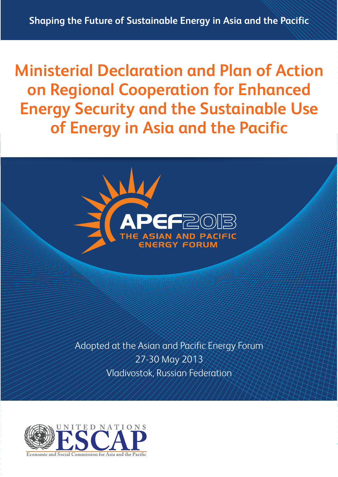**Ministerial Declaration and Plan of Action on Regional Cooperation for Enhanced Energy Security and the Sustainable Use of Energy in Asia and the Pacific**



Adopted at the Asian and Pacific Energy Forum 27-30 May 2013 Vladivostok, Russian Federation

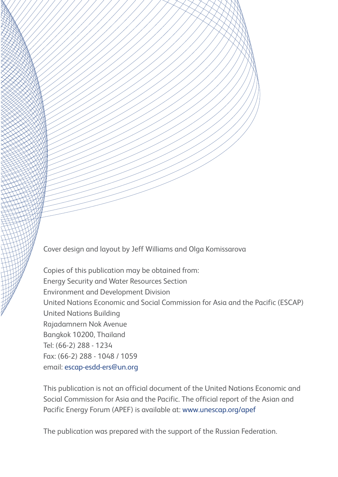Cover design and layout by Jeff Williams and Olga Komissarova

Copies of this publication may be obtained from: Energy Security and Water Resources Section Environment and Development Division United Nations Economic and Social Commission for Asia and the Pacific (ESCAP) United Nations Building Rajadamnern Nok Avenue Bangkok 10200, Thailand Tel: (66-2) 288 - 1234 Fax: (66-2) 288 - 1048 / 1059 email: escap-esdd-ers@un.org

This publication is not an official document of the United Nations Economic and Social Commission for Asia and the Pacific. The official report of the Asian and Pacific Energy Forum (APEF) is available at: www.unescap.org/apef

The publication was prepared with the support of the Russian Federation.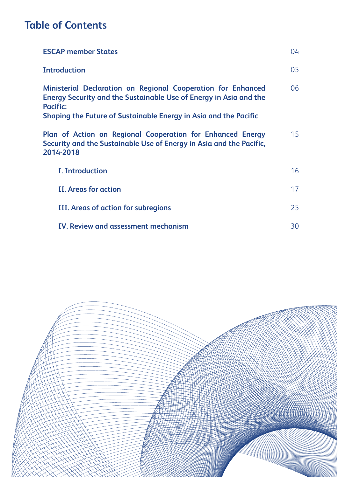# **Table of Contents**

| <b>ESCAP member States</b>                                                                                                                                         | 04 |
|--------------------------------------------------------------------------------------------------------------------------------------------------------------------|----|
| <b>Introduction</b>                                                                                                                                                | 05 |
| <b>Ministerial Declaration on Regional Cooperation for Enhanced</b><br><b>Energy Security and the Sustainable Use of Energy in Asia and the</b><br><b>Pacific:</b> | 06 |
| Shaping the Future of Sustainable Energy in Asia and the Pacific                                                                                                   |    |
| Plan of Action on Regional Cooperation for Enhanced Energy<br>Security and the Sustainable Use of Energy in Asia and the Pacific,<br>2014-2018                     | 15 |
| <b>I. Introduction</b>                                                                                                                                             | 16 |
| <b>II. Areas for action</b>                                                                                                                                        | 17 |
| III. Areas of action for subregions                                                                                                                                | 25 |
| <b>IV. Review and assessment mechanism</b>                                                                                                                         | 30 |

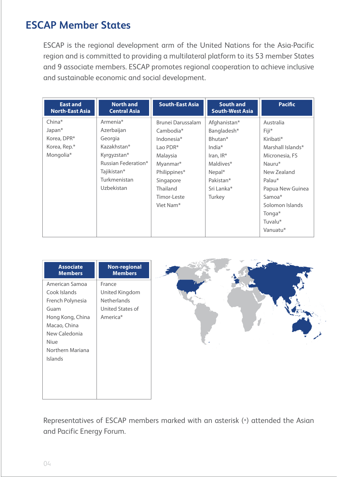# **ESCAP Member States**

ESCAP is the regional development arm of the United Nations for the Asia-Pacific region and is committed to providing a multilateral platform to its 53 member States and 9 associate members. ESCAP promotes regional cooperation to achieve inclusive and sustainable economic and social development.

| <b>East and</b><br><b>North-East Asia</b> | <b>North and</b><br><b>Central Asia</b> | <b>South-East Asia</b> | <b>South and</b><br><b>South-West Asia</b> | <b>Pacific</b>    |
|-------------------------------------------|-----------------------------------------|------------------------|--------------------------------------------|-------------------|
| $China*$                                  | Armenia*                                | Brunei Darussalam      | Afghanistan*                               | Australia         |
| Japan*                                    | Azerbaijan                              | Cambodia*              | Bangladesh*                                | Fiji*             |
| Korea, DPR*                               | Georgia                                 | Indonesia*             | Bhutan*                                    | Kiribati*         |
| Korea, Rep.*                              | Kazakhstan*                             | Lao PDR*               | India $*$                                  | Marshall Islands* |
| Mongolia*                                 | Kyrgyzstan*                             | Malaysia               | Iran, $IR^*$                               | Micronesia, FS    |
|                                           | Russian Federation*                     | Myanmar*               | Maldives*                                  | Nauru*            |
|                                           | Tajikistan*                             | Philippines*           | Nepal*                                     | New Zealand       |
|                                           | Turkmenistan                            | Singapore              | Pakistan*                                  | Palau*            |
|                                           | Uzbekistan                              | <b>Thailand</b>        | Sri Lanka*                                 | Papua New Guinea  |
|                                           |                                         | Timor-Leste            | Turkey                                     | Samoa*            |
|                                           |                                         | Viet Nam <sup>*</sup>  |                                            | Solomon Islands   |
|                                           |                                         |                        |                                            | Tonga*            |
|                                           |                                         |                        |                                            | Tuvalu*           |
|                                           |                                         |                        |                                            | Vanuatu*          |

| <b>Associate</b>                                                                                                                                       | <b>Non-regional</b>                                                     |
|--------------------------------------------------------------------------------------------------------------------------------------------------------|-------------------------------------------------------------------------|
| <b>Members</b>                                                                                                                                         | <b>Members</b>                                                          |
| American Samoa<br>Cook Islands<br>French Polynesia<br>Guam<br>Hong Kong, China<br>Macao, China<br>New Caledonia<br>Niue<br>Northern Mariana<br>Islands | France<br>United Kingdom<br>Netherlands<br>United States of<br>America* |

Representatives of ESCAP members marked with an asterisk (\*) attended the Asian and Pacific Energy Forum.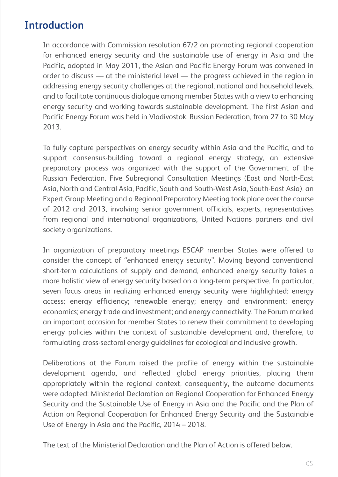# **Introduction**

In accordance with Commission resolution 67/2 on promoting regional cooperation for enhanced energy security and the sustainable use of energy in Asia and the Pacific, adopted in May 2011, the Asian and Pacific Energy Forum was convened in order to discuss — at the ministerial level — the progress achieved in the region in addressing energy security challenges at the regional, national and household levels, and to facilitate continuous dialogue among member States with a view to enhancing energy security and working towards sustainable development. The first Asian and Pacific Energy Forum was held in Vladivostok, Russian Federation, from 27 to 30 May 2013.

To fully capture perspectives on energy security within Asia and the Pacific, and to support consensus-building toward a regional energy strategy, an extensive preparatory process was organized with the support of the Government of the Russian Federation. Five Subregional Consultation Meetings (East and North-East Asia, North and Central Asia, Pacific, South and South-West Asia, South-East Asia), an Expert Group Meeting and a Regional Preparatory Meeting took place over the course of 2012 and 2013, involving senior government officials, experts, representatives from regional and international organizations, United Nations partners and civil society organizations.

In organization of preparatory meetings ESCAP member States were offered to consider the concept of "enhanced energy security". Moving beyond conventional short-term calculations of supply and demand, enhanced energy security takes a more holistic view of energy security based on a long-term perspective. In particular, seven focus areas in realizing enhanced energy security were highlighted: energy access; energy efficiency; renewable energy; energy and environment; energy economics; energy trade and investment; and energy connectivity. The Forum marked an important occasion for member States to renew their commitment to developing energy policies within the context of sustainable development and, therefore, to formulating cross-sectoral energy guidelines for ecological and inclusive growth.

Deliberations at the Forum raised the profile of energy within the sustainable development agenda, and reflected global energy priorities, placing them appropriately within the regional context, consequently, the outcome documents were adopted: Ministerial Declaration on Regional Cooperation for Enhanced Energy Security and the Sustainable Use of Energy in Asia and the Pacific and the Plan of Action on Regional Cooperation for Enhanced Energy Security and the Sustainable Use of Energy in Asia and the Pacific, 2014 – 2018.

The text of the Ministerial Declaration and the Plan of Action is offered below.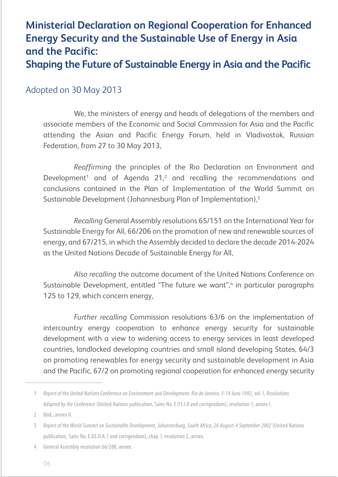# **Ministerial Declaration on Regional Cooperation for Enhanced Energy Security and the Sustainable Use of Energy in Asia and the Pacific: Shaping the Future of Sustainable Energy in Asia and the Pacific**

## Adopted on 30 May 2013

We, the ministers of energy and heads of delegations of the members and associate members of the Economic and Social Commission for Asia and the Pacific attending the Asian and Pacific Energy Forum, held in Vladivostok, Russian Federation, from 27 to 30 May 2013,

*Reaffirming* the principles of the Rio Declaration on Environment and Development<sup>1</sup> and of Agenda 21,<sup>2</sup> and recalling the recommendations and conclusions contained in the Plan of Implementation of the World Summit on Sustainable Development (Johannesburg Plan of Implementation),3

*Recalling* General Assembly resolutions 65/151 on the International Year for Sustainable Energy for All, 66/206 on the promotion of new and renewable sources of energy, and 67/215, in which the Assembly decided to declare the decade 2014-2024 as the United Nations Decade of Sustainable Energy for All,

*Also recalling* the outcome document of the United Nations Conference on Sustainable Development, entitled "The future we want", in particular paragraphs 125 to 129, which concern energy,

*Further recalling* Commission resolutions 63/6 on the implementation of intercountry energy cooperation to enhance energy security for sustainable development with a view to widening access to energy services in least developed countries, landlocked developing countries and small island developing States, 64/3 on promoting renewables for energy security and sustainable development in Asia and the Pacific, 67/2 on promoting regional cooperation for enhanced energy security

2 Ibid., annex II.

General Assembly resolution 66/288, annex. 4

<sup>1</sup> Report of the United Nations Conference on Environment and Development, Rio de Janeiro, 3-14 June 1992, vol. I, Resolutions Adopted by the Conference (United Nations publication, Sales No. E.93.I.8 and corrigendum), resolution 1, annex I.

<sup>3</sup> Report of the World Summit on Sustainable Development, Johannesburg, South Africa, 26 August-4 September 2002 (United Nations publication, Sales No. E.03.II.A.1 and corrigendum), chap. I, resolution 2, annex.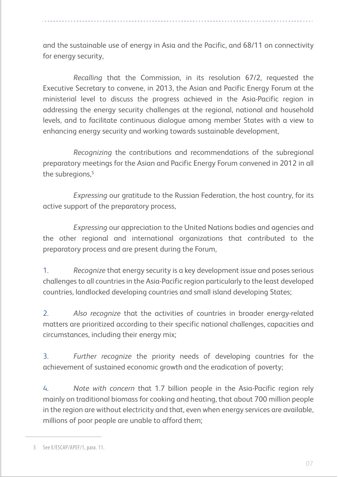and the sustainable use of energy in Asia and the Pacific, and 68/11 on connectivity for energy security,

*Recalling* that the Commission, in its resolution 67/2, requested the Executive Secretary to convene, in 2013, the Asian and Pacific Energy Forum at the ministerial level to discuss the progress achieved in the Asia-Pacific region in addressing the energy security challenges at the regional, national and household levels, and to facilitate continuous dialogue among member States with a view to enhancing energy security and working towards sustainable development,

*Recognizing* the contributions and recommendations of the subregional preparatory meetings for the Asian and Pacific Energy Forum convened in 2012 in all the subregions,<sup>5</sup>

*Expressing* our gratitude to the Russian Federation, the host country, for its active support of the preparatory process,

*Expressing* our appreciation to the United Nations bodies and agencies and the other regional and international organizations that contributed to the preparatory process and are present during the Forum,

*Recognize* that energy security is a key development issue and poses serious challenges to all countries in the Asia-Pacific region particularly to the least developed countries, landlocked developing countries and small island developing States; 1.

*Also recognize* that the activities of countries in broader energy-related matters are prioritized according to their specific national challenges, capacities and circumstances, including their energy mix; 2.

*Further recognize* the priority needs of developing countries for the achievement of sustained economic growth and the eradication of poverty; 3.

*Note with concern* that 1.7 billion people in the Asia-Pacific region rely mainly on traditional biomass for cooking and heating, that about 700 million people in the region are without electricity and that, even when energy services are available, millions of poor people are unable to afford them; 4.

<sup>5</sup> See E/ESCAP/APEF/1, para. 11.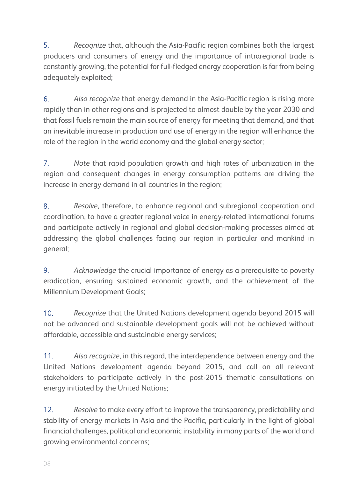*Recognize* that, although the Asia-Pacific region combines both the largest producers and consumers of energy and the importance of intraregional trade is constantly growing, the potential for full-fledged energy cooperation is far from being adequately exploited; 5.

*Also recognize* that energy demand in the Asia-Pacific region is rising more rapidly than in other regions and is projected to almost double by the year 2030 and that fossil fuels remain the main source of energy for meeting that demand, and that an inevitable increase in production and use of energy in the region will enhance the role of the region in the world economy and the global energy sector; 6.

*Note* that rapid population growth and high rates of urbanization in the region and consequent changes in energy consumption patterns are driving the increase in energy demand in all countries in the region; 7.

*Resolve*, therefore, to enhance regional and subregional cooperation and coordination, to have a greater regional voice in energy-related international forums and participate actively in regional and global decision-making processes aimed at addressing the global challenges facing our region in particular and mankind in general; 8.

*Acknowledge* the crucial importance of energy as a prerequisite to poverty eradication, ensuring sustained economic growth, and the achievement of the Millennium Development Goals; 9.

*Recognize* that the United Nations development agenda beyond 2015 will not be advanced and sustainable development goals will not be achieved without affordable, accessible and sustainable energy services; 10.

*Also recognize*, in this regard, the interdependence between energy and the United Nations development agenda beyond 2015, and call on all relevant stakeholders to participate actively in the post-2015 thematic consultations on energy initiated by the United Nations; 11.

*Resolve* to make every effort to improve the transparency, predictability and stability of energy markets in Asia and the Pacific, particularly in the light of global financial challenges, political and economic instability in many parts of the world and growing environmental concerns; 12.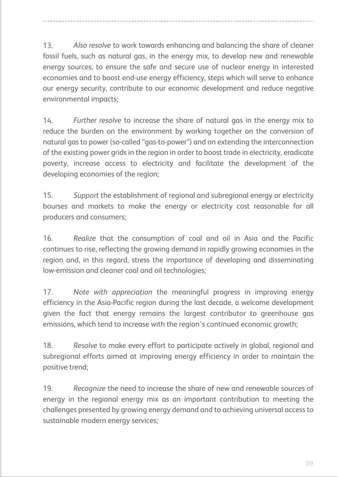*Also resolve* to work towards enhancing and balancing the share of cleaner fossil fuels, such as natural gas, in the energy mix, to develop new and renewable energy sources, to ensure the safe and secure use of nuclear energy in interested economies and to boost end-use energy efficiency, steps which will serve to enhance our energy security, contribute to our economic development and reduce negative environmental impacts; 13.

Ī

*Further resolve* to increase the share of natural gas in the energy mix to reduce the burden on the environment by working together on the conversion of natural gas to power (so-called "gas-to-power") and on extending the interconnection of the existing power grids in the region in order to boost trade in electricity, eradicate poverty, increase access to electricity and facilitate the development of the developing economies of the region; 14.

*Support* the establishment of regional and subregional energy or electricity bourses and markets to make the energy or electricity cost reasonable for all producers and consumers; 15.

*Realize* that the consumption of coal and oil in Asia and the Pacific continues to rise, reflecting the growing demand in rapidly growing economies in the region and, in this regard, stress the importance of developing and disseminating low-emission and cleaner coal and oil technologies; 16.

*Note with appreciation* the meaningful progress in improving energy efficiency in the Asia-Pacific region during the last decade, a welcome development given the fact that energy remains the largest contributor to greenhouse gas emissions, which tend to increase with the region's continued economic growth; 17.

*Resolve* to make every effort to participate actively in global, regional and subregional efforts aimed at improving energy efficiency in order to maintain the positive trend; 18.

*Recognize* the need to increase the share of new and renewable sources of energy in the regional energy mix as an important contribution to meeting the challenges presented by growing energy demand and to achieving universal access to sustainable modern energy services; 19.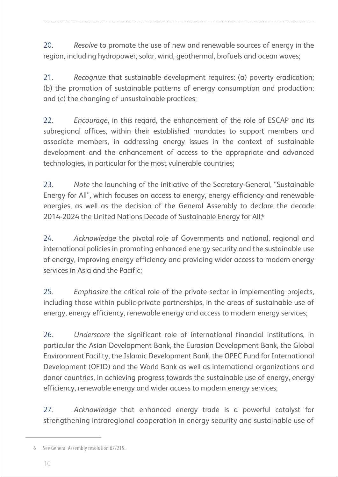*Resolve* to promote the use of new and renewable sources of energy in the region, including hydropower, solar, wind, geothermal, biofuels and ocean waves; 20.

*Recognize* that sustainable development requires: (a) poverty eradication; (b) the promotion of sustainable patterns of energy consumption and production; and (c) the changing of unsustainable practices; 21.

*Encourage*, in this regard, the enhancement of the role of ESCAP and its subregional offices, within their established mandates to support members and associate members, in addressing energy issues in the context of sustainable development and the enhancement of access to the appropriate and advanced technologies, in particular for the most vulnerable countries; 22.

*Note* the launching of the initiative of the Secretary-General, "Sustainable Energy for All", which focuses on access to energy, energy efficiency and renewable energies, as well as the decision of the General Assembly to declare the decade 2014-2024 the United Nations Decade of Sustainable Energy for All;<sup>6</sup> 23.

*Acknowledge* the pivotal role of Governments and national, regional and international policies in promoting enhanced energy security and the sustainable use of energy, improving energy efficiency and providing wider access to modern energy services in Asia and the Pacific; 24.

*Emphasize* the critical role of the private sector in implementing projects, including those within public-private partnerships, in the areas of sustainable use of energy, energy efficiency, renewable energy and access to modern energy services; 25.

*Underscore* the significant role of international financial institutions, in particular the Asian Development Bank, the Eurasian Development Bank, the Global Environment Facility, the Islamic Development Bank, the OPEC Fund for International Development (OFID) and the World Bank as well as international organizations and donor countries, in achieving progress towards the sustainable use of energy, energy efficiency, renewable energy and wider access to modern energy services; 26.

*Acknowledge* that enhanced energy trade is a powerful catalyst for strengthening intraregional cooperation in energy security and sustainable use of 27.

<sup>6</sup> See General Assembly resolution 67/215.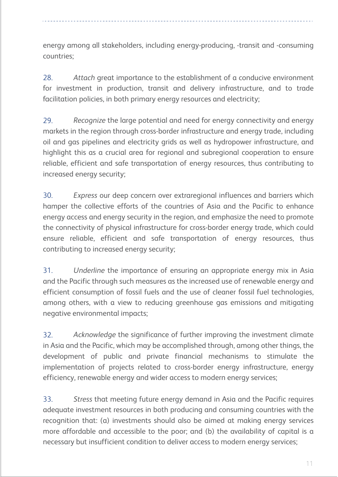energy among all stakeholders, including energy-producing, -transit and -consuming countries;

*Attach* great importance to the establishment of a conducive environment for investment in production, transit and delivery infrastructure, and to trade facilitation policies, in both primary energy resources and electricity; 28.

*Recognize* the large potential and need for energy connectivity and energy markets in the region through cross-border infrastructure and energy trade, including oil and gas pipelines and electricity grids as well as hydropower infrastructure, and highlight this as a crucial area for regional and subregional cooperation to ensure reliable, efficient and safe transportation of energy resources, thus contributing to increased energy security; 29.

*Express* our deep concern over extraregional influences and barriers which hamper the collective efforts of the countries of Asia and the Pacific to enhance energy access and energy security in the region, and emphasize the need to promote the connectivity of physical infrastructure for cross-border energy trade, which could ensure reliable, efficient and safe transportation of energy resources, thus contributing to increased energy security; 30.

*Underline* the importance of ensuring an appropriate energy mix in Asia and the Pacific through such measures as the increased use of renewable energy and efficient consumption of fossil fuels and the use of cleaner fossil fuel technologies, among others, with a view to reducing greenhouse gas emissions and mitigating negative environmental impacts; 31.

*Acknowledge* the significance of further improving the investment climate in Asia and the Pacific, which may be accomplished through, among other things, the development of public and private financial mechanisms to stimulate the implementation of projects related to cross-border energy infrastructure, energy efficiency, renewable energy and wider access to modern energy services; 32.

*Stress* that meeting future energy demand in Asia and the Pacific requires adequate investment resources in both producing and consuming countries with the recognition that: (a) investments should also be aimed at making energy services more affordable and accessible to the poor; and (b) the availability of capital is a necessary but insufficient condition to deliver access to modern energy services; 33.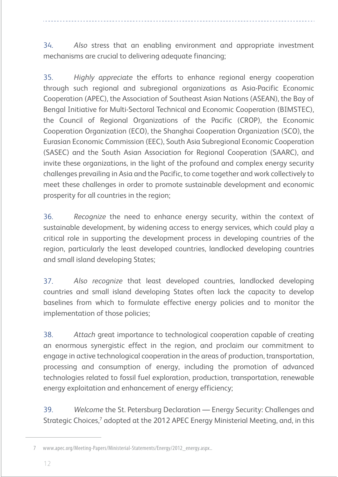*Also* stress that an enabling environment and appropriate investment mechanisms are crucial to delivering adequate financing; 34.

*Highly appreciate* the efforts to enhance regional energy cooperation through such regional and subregional organizations as Asia-Pacific Economic Cooperation (APEC), the Association of Southeast Asian Nations (ASEAN), the Bay of Bengal Initiative for Multi-Sectoral Technical and Economic Cooperation (BIMSTEC), the Council of Regional Organizations of the Pacific (CROP), the Economic Cooperation Organization (ECO), the Shanghai Cooperation Organization (SCO), the Eurasian Economic Commission (EEC), South Asia Subregional Economic Cooperation (SASEC) and the South Asian Association for Regional Cooperation (SAARC), and invite these organizations, in the light of the profound and complex energy security challenges prevailing in Asia and the Pacific, to come together and work collectively to meet these challenges in order to promote sustainable development and economic prosperity for all countries in the region; 35.

*Recognize* the need to enhance energy security, within the context of sustainable development, by widening access to energy services, which could play a critical role in supporting the development process in developing countries of the region, particularly the least developed countries, landlocked developing countries and small island developing States; 36.

*Also recognize* that least developed countries, landlocked developing countries and small island developing States often lack the capacity to develop baselines from which to formulate effective energy policies and to monitor the implementation of those policies; 37.

*Attach* great importance to technological cooperation capable of creating an enormous synergistic effect in the region, and proclaim our commitment to engage in active technological cooperation in the areas of production, transportation, processing and consumption of energy, including the promotion of advanced technologies related to fossil fuel exploration, production, transportation, renewable energy exploitation and enhancement of energy efficiency; 38.

*Welcome* the St. Petersburg Declaration — Energy Security: Challenges and Strategic Choices,<sup>7</sup> adopted at the 2012 APEC Energy Ministerial Meeting, and, in this 39.

<sup>7</sup> www.apec.org/Meeting-Papers/Ministerial-Statements/Energy/2012\_energy.aspx..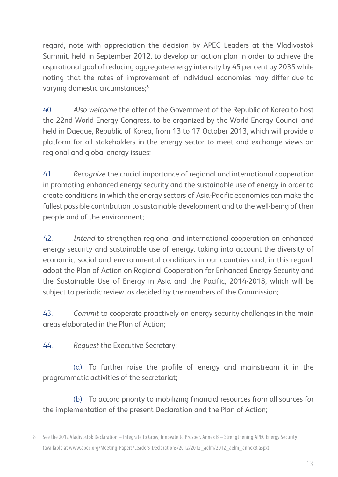regard, note with appreciation the decision by APEC Leaders at the Vladivostok Summit, held in September 2012, to develop an action plan in order to achieve the aspirational goal of reducing aggregate energy intensity by 45 per cent by 2035 while noting that the rates of improvement of individual economies may differ due to varying domestic circumstances;<sup>8</sup>

*Also welcome* the offer of the Government of the Republic of Korea to host the 22nd World Energy Congress, to be organized by the World Energy Council and held in Daegue, Republic of Korea, from 13 to 17 October 2013, which will provide a platform for all stakeholders in the energy sector to meet and exchange views on regional and global energy issues; 40.

*Recognize* the crucial importance of regional and international cooperation in promoting enhanced energy security and the sustainable use of energy in order to create conditions in which the energy sectors of Asia-Pacific economies can make the fullest possible contribution to sustainable development and to the well-being of their people and of the environment; 41.

*Intend* to strengthen regional and international cooperation on enhanced energy security and sustainable use of energy, taking into account the diversity of economic, social and environmental conditions in our countries and, in this regard, adopt the Plan of Action on Regional Cooperation for Enhanced Energy Security and the Sustainable Use of Energy in Asia and the Pacific, 2014-2018, which will be subject to periodic review, as decided by the members of the Commission; 42.

*Commit* to cooperate proactively on energy security challenges in the main areas elaborated in the Plan of Action; 43.

*Request* the Executive Secretary: 44.

 $\alpha$ ) To further raise the profile of energy and mainstream it in the programmatic activities of the secretariat;

(b) To accord priority to mobilizing financial resources from all sources for the implementation of the present Declaration and the Plan of Action;

<sup>8</sup> See the 2012 Vladivostok Declaration – Integrate to Grow, Innovate to Prosper, Annex B – Strengthening APEC Energy Security (available at www.apec.org/Meeting-Papers/Leaders-Declarations/2012/2012\_aelm/2012\_aelm\_annexB.aspx).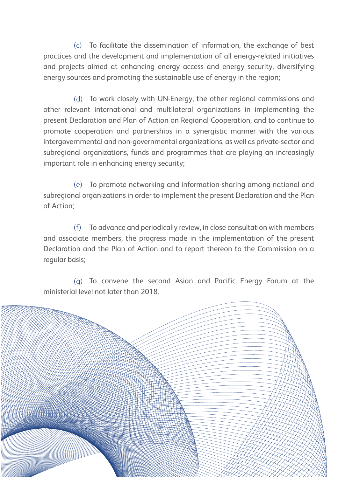(c) To facilitate the dissemination of information, the exchange of best practices and the development and implementation of all energy-related initiatives and projects aimed at enhancing energy access and energy security, diversifying energy sources and promoting the sustainable use of energy in the region;

(d) To work closely with UN-Energy, the other regional commissions and other relevant international and multilateral organizations in implementing the present Declaration and Plan of Action on Regional Cooperation, and to continue to promote cooperation and partnerships in a synergistic manner with the various intergovernmental and non-governmental organizations, as well as private-sector and subregional organizations, funds and programmes that are playing an increasingly important role in enhancing energy security;

To promote networking and information-sharing among national and (e) subregional organizations in order to implement the present Declaration and the Plan of Action;

To advance and periodically review, in close consultation with members and associate members, the progress made in the implementation of the present Declaration and the Plan of Action and to report thereon to the Commission on a regular basis; (f)

(g) To convene the second Asian and Pacific Energy Forum at the ministerial level not later than 2018.

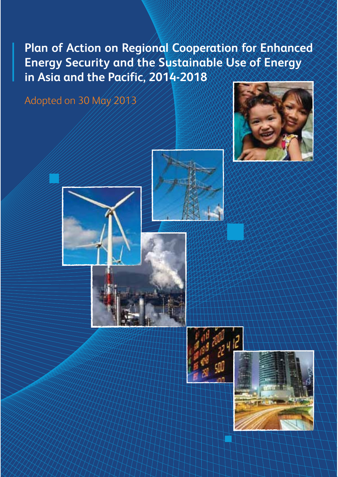**Plan of Action on Regional Cooperation for Enhanced Energy Security and the Sustainable Use of Energy in Asia and the Pacific, 2014-2018**

Adopted on 30 May 2013







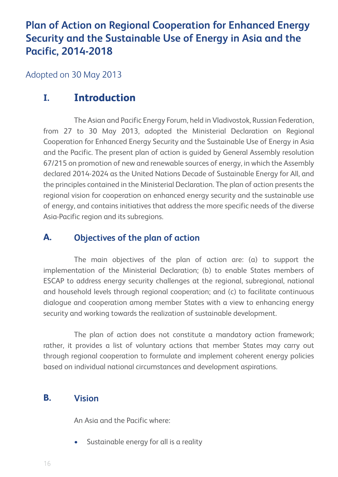# **Plan of Action on Regional Cooperation for Enhanced Energy Security and the Sustainable Use of Energy in Asia and the Pacific, 2014-2018**

Adopted on 30 May 2013

## **Introduction I.**

The Asian and Pacific Energy Forum, held in Vladivostok, Russian Federation, from 27 to 30 May 2013, adopted the Ministerial Declaration on Regional Cooperation for Enhanced Energy Security and the Sustainable Use of Energy in Asia and the Pacific. The present plan of action is guided by General Assembly resolution 67/215 on promotion of new and renewable sources of energy, in which the Assembly declared 2014-2024 as the United Nations Decade of Sustainable Energy for All, and the principles contained in the Ministerial Declaration. The plan of action presents the regional vision for cooperation on enhanced energy security and the sustainable use of energy, and contains initiatives that address the more specific needs of the diverse Asia-Pacific region and its subregions.

### **Objectives of the plan of action A.**

The main objectives of the plan of action are: (a) to support the implementation of the Ministerial Declaration; (b) to enable States members of ESCAP to address energy security challenges at the regional, subregional, national and household levels through regional cooperation; and (c) to facilitate continuous dialogue and cooperation among member States with a view to enhancing energy security and working towards the realization of sustainable development.

The plan of action does not constitute a mandatory action framework; rather, it provides a list of voluntary actions that member States may carry out through regional cooperation to formulate and implement coherent energy policies based on individual national circumstances and development aspirations.

### **Vision B.**

An Asia and the Pacific where:

• Sustainable energy for all is a reality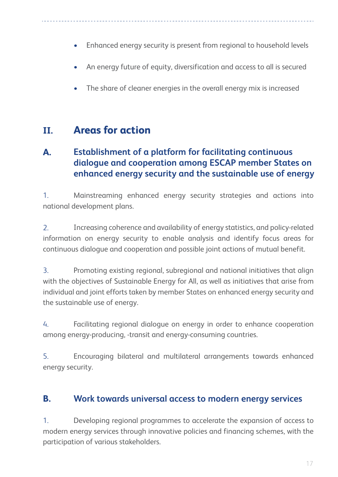- Enhanced energy security is present from regional to household levels
- An energy future of equity, diversification and access to all is secured
- The share of cleaner energies in the overall energy mix is increased

## **Areas for actionII.**

## **Establishment of a platform for facilitating continuous dialogue and cooperation among ESCAP member States on enhanced energy security and the sustainable use of energy A.**

Mainstreaming enhanced energy security strategies and actions into national development plans. 1.

Increasing coherence and availability of energy statistics, and policy-related information on energy security to enable analysis and identify focus areas for continuous dialogue and cooperation and possible joint actions of mutual benefit.  $\mathcal{P}$ 

Promoting existing regional, subregional and national initiatives that align with the objectives of Sustainable Energy for All, as well as initiatives that arise from individual and joint efforts taken by member States on enhanced energy security and the sustainable use of energy. 3.

Facilitating regional dialogue on energy in order to enhance cooperation among energy-producing, -transit and energy-consuming countries. 4.

Encouraging bilateral and multilateral arrangements towards enhanced energy security. 5.

#### **Work towards universal access to modern energy services B.**

Developing regional programmes to accelerate the expansion of access to modern energy services through innovative policies and financing schemes, with the participation of various stakeholders. 1.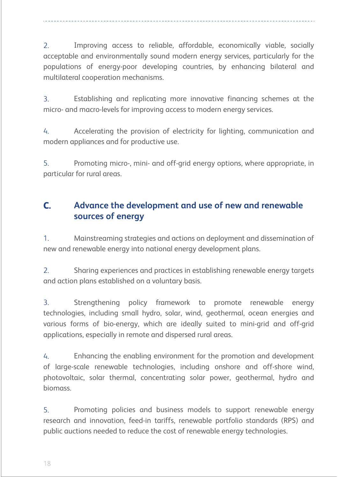Improving access to reliable, affordable, economically viable, socially acceptable and environmentally sound modern energy services, particularly for the populations of energy-poor developing countries, by enhancing bilateral and multilateral cooperation mechanisms. 2.

Establishing and replicating more innovative financing schemes at the micro- and macro-levels for improving access to modern energy services. 3.

Accelerating the provision of electricity for lighting, communication and modern appliances and for productive use. 4.

Promoting micro-, mini- and off-grid energy options, where appropriate, in particular for rural areas. 5.

## **Advance the development and use of new and renewable sources of energy C.**

Mainstreaming strategies and actions on deployment and dissemination of new and renewable energy into national energy development plans. 1.

Sharing experiences and practices in establishing renewable energy targets and action plans established on a voluntary basis.  $\mathcal{L}$ 

Strengthening policy framework to promote renewable energy technologies, including small hydro, solar, wind, geothermal, ocean energies and various forms of bio-energy, which are ideally suited to mini-grid and off-grid applications, especially in remote and dispersed rural areas. 3.

Enhancing the enabling environment for the promotion and development of large-scale renewable technologies, including onshore and off-shore wind, photovoltaic, solar thermal, concentrating solar power, geothermal, hydro and biomass. 4.

Promoting policies and business models to support renewable energy research and innovation, feed-in tariffs, renewable portfolio standards (RPS) and public auctions needed to reduce the cost of renewable energy technologies. 5.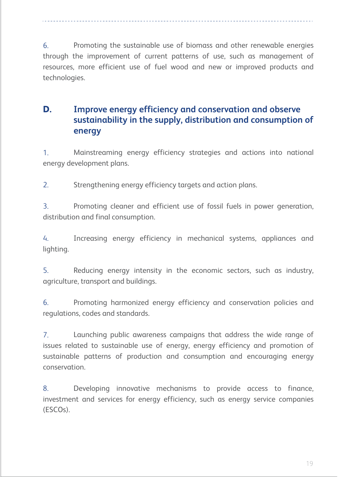Promoting the sustainable use of biomass and other renewable energies through the improvement of current patterns of use, such as management of resources, more efficient use of fuel wood and new or improved products and technologies. 6.

## **Improve energy efficiency and conservation and observe sustainability in the supply, distribution and consumption of energy D.**

Mainstreaming energy efficiency strategies and actions into national energy development plans. 1.

Strengthening energy efficiency targets and action plans. 2.

Promoting cleaner and efficient use of fossil fuels in power generation, distribution and final consumption. 3.

Increasing energy efficiency in mechanical systems, appliances and lighting. 4.

Reducing energy intensity in the economic sectors, such as industry, agriculture, transport and buildings. 5.

Promoting harmonized energy efficiency and conservation policies and regulations, codes and standards. 6.

Launching public awareness campaigns that address the wide range of issues related to sustainable use of energy, energy efficiency and promotion of sustainable patterns of production and consumption and encouraging energy conservation. 7.

Developing innovative mechanisms to provide access to finance, investment and services for energy efficiency, such as energy service companies (ESCOs). 8.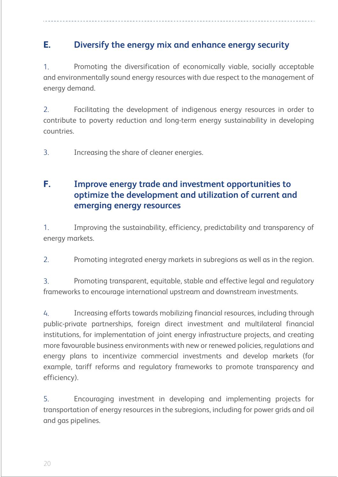## **Diversify the energy mix and enhance energy security E.**

Promoting the diversification of economically viable, socially acceptable and environmentally sound energy resources with due respect to the management of energy demand. 1.

Facilitating the development of indigenous energy resources in order to contribute to poverty reduction and long-term energy sustainability in developing countries. 2.

Increasing the share of cleaner energies. 3.

## **Improve energy trade and investment opportunities to optimize the development and utilization of current and emerging energy resources F.**

Improving the sustainability, efficiency, predictability and transparency of energy markets. 1.

Promoting integrated energy markets in subregions as well as in the region. 2.

Promoting transparent, equitable, stable and effective legal and regulatory frameworks to encourage international upstream and downstream investments. 3.

Increasing efforts towards mobilizing financial resources, including through public-private partnerships, foreign direct investment and multilateral financial institutions, for implementation of joint energy infrastructure projects, and creating more favourable business environments with new or renewed policies, regulations and energy plans to incentivize commercial investments and develop markets (for example, tariff reforms and regulatory frameworks to promote transparency and efficiency). 4.

Encouraging investment in developing and implementing projects for transportation of energy resources in the subregions, including for power grids and oil and gas pipelines. 5.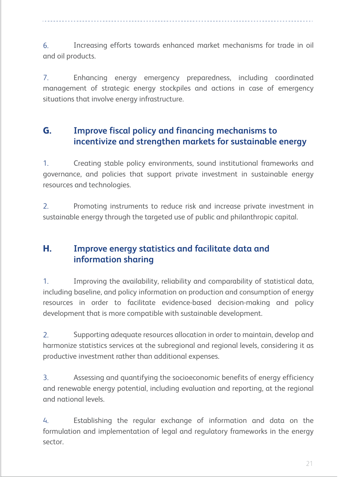Increasing efforts towards enhanced market mechanisms for trade in oil and oil products. 6.

Enhancing energy emergency preparedness, including coordinated management of strategic energy stockpiles and actions in case of emergency situations that involve energy infrastructure. 7.

## **Improve fiscal policy and financing mechanisms to incentivize and strengthen markets for sustainable energy G.**

Creating stable policy environments, sound institutional frameworks and governance, and policies that support private investment in sustainable energy resources and technologies. 1.

Promoting instruments to reduce risk and increase private investment in sustainable energy through the targeted use of public and philanthropic capital. 2.

## **Improve energy statistics and facilitate data and information sharing H.**

Improving the availability, reliability and comparability of statistical data, including baseline, and policy information on production and consumption of energy resources in order to facilitate evidence-based decision-making and policy development that is more compatible with sustainable development. 1.

Supporting adequate resources allocation in order to maintain, develop and harmonize statistics services at the subregional and regional levels, considering it as productive investment rather than additional expenses. 2.

Assessing and quantifying the socioeconomic benefits of energy efficiency and renewable energy potential, including evaluation and reporting, at the regional and national levels. 3.

Establishing the regular exchange of information and data on the formulation and implementation of legal and regulatory frameworks in the energy sector. 4.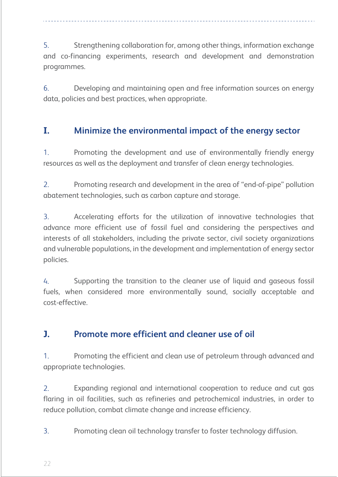Strengthening collaboration for, among other things, information exchange and co-financing experiments, research and development and demonstration programmes. 5.

Developing and maintaining open and free information sources on energy data, policies and best practices, when appropriate. 6.

### **Minimize the environmental impact of the energy sector I.**

Promoting the development and use of environmentally friendly energy resources as well as the deployment and transfer of clean energy technologies. 1.

Promoting research and development in the area of "end-of-pipe" pollution abatement technologies, such as carbon capture and storage. 2.

Accelerating efforts for the utilization of innovative technologies that advance more efficient use of fossil fuel and considering the perspectives and interests of all stakeholders, including the private sector, civil society organizations and vulnerable populations, in the development and implementation of energy sector policies. 3.

Supporting the transition to the cleaner use of liquid and gaseous fossil fuels, when considered more environmentally sound, socially acceptable and cost-effective. 4.

#### **Promote more efficient and cleaner use of oil J.**

Promoting the efficient and clean use of petroleum through advanced and appropriate technologies. 1.

Expanding regional and international cooperation to reduce and cut gas flaring in oil facilities, such as refineries and petrochemical industries, in order to reduce pollution, combat climate change and increase efficiency. 2.

Promoting clean oil technology transfer to foster technology diffusion. 3.

22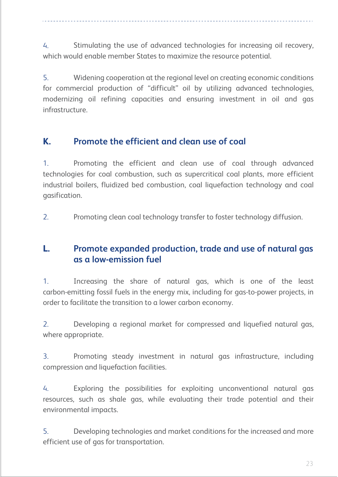Stimulating the use of advanced technologies for increasing oil recovery, which would enable member States to maximize the resource potential. 4.

Widening cooperation at the regional level on creating economic conditions for commercial production of "difficult" oil by utilizing advanced technologies, modernizing oil refining capacities and ensuring investment in oil and gas infrastructure. 5.

#### **Promote the efficient and clean use of coal K.**

Promoting the efficient and clean use of coal through advanced technologies for coal combustion, such as supercritical coal plants, more efficient industrial boilers, fluidized bed combustion, coal liquefaction technology and coal gasification. 1.

Promoting clean coal technology transfer to foster technology diffusion. 2.

## **Promote expanded production, trade and use of natural gas as a low-emission fuel L.**

Increasing the share of natural gas, which is one of the least carbon-emitting fossil fuels in the energy mix, including for gas-to-power projects, in order to facilitate the transition to a lower carbon economy. 1.

Developing a regional market for compressed and liquefied natural gas, where appropriate. 2.

Promoting steady investment in natural gas infrastructure, including compression and liquefaction facilities. 3.

Exploring the possibilities for exploiting unconventional natural gas resources, such as shale gas, while evaluating their trade potential and their environmental impacts. 4.

Developing technologies and market conditions for the increased and more efficient use of gas for transportation. 5.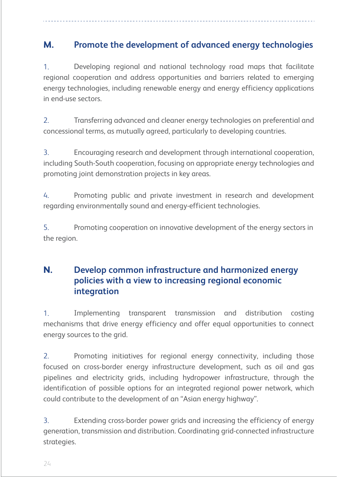### **Promote the development of advanced energy technologies M.**

Developing regional and national technology road maps that facilitate regional cooperation and address opportunities and barriers related to emerging energy technologies, including renewable energy and energy efficiency applications in end-use sectors. 1.

Transferring advanced and cleaner energy technologies on preferential and concessional terms, as mutually agreed, particularly to developing countries. 2.

Encouraging research and development through international cooperation, including South-South cooperation, focusing on appropriate energy technologies and promoting joint demonstration projects in key areas. 3.

Promoting public and private investment in research and development regarding environmentally sound and energy-efficient technologies. 4.

Promoting cooperation on innovative development of the energy sectors in the region. 5.

## **Develop common infrastructure and harmonized energy policies with a view to increasing regional economic integration N.**

Implementing transparent transmission and distribution costing mechanisms that drive energy efficiency and offer equal opportunities to connect energy sources to the grid. 1.

Promoting initiatives for regional energy connectivity, including those focused on cross-border energy infrastructure development, such as oil and gas pipelines and electricity grids, including hydropower infrastructure, through the identification of possible options for an integrated regional power network, which could contribute to the development of an "Asian energy highway". 2.

Extending cross-border power grids and increasing the efficiency of energy generation, transmission and distribution. Coordinating grid-connected infrastructure strategies. 3.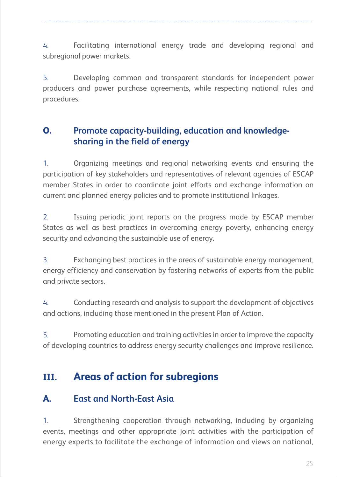Facilitating international energy trade and developing regional and subregional power markets. 4.

Developing common and transparent standards for independent power producers and power purchase agreements, while respecting national rules and procedures. 5.

## **Promote capacity-building, education and knowledgesharing in the field of energy O.**

Organizing meetings and regional networking events and ensuring the participation of key stakeholders and representatives of relevant agencies of ESCAP member States in order to coordinate joint efforts and exchange information on current and planned energy policies and to promote institutional linkages. 1.

Issuing periodic joint reports on the progress made by ESCAP member States as well as best practices in overcoming energy poverty, enhancing energy security and advancing the sustainable use of energy. 2.

Exchanging best practices in the areas of sustainable energy management, energy efficiency and conservation by fostering networks of experts from the public and private sectors. 3.

Conducting research and analysis to support the development of objectives and actions, including those mentioned in the present Plan of Action. 4.

Promoting education and training activities in order to improve the capacity of developing countries to address energy security challenges and improve resilience. 5.

## **Areas of action for subregions III.**

#### **East and North-East Asia A.**

Strengthening cooperation through networking, including by organizing events, meetings and other appropriate joint activities with the participation of energy experts to facilitate the exchange of information and views on national, 1.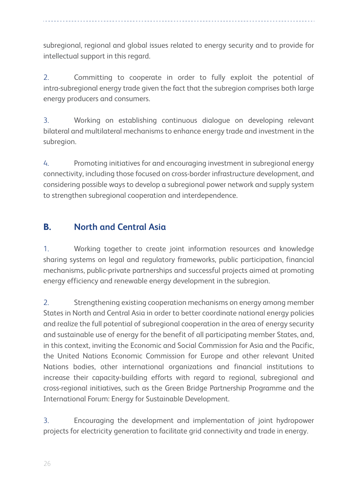subregional, regional and global issues related to energy security and to provide for intellectual support in this regard.

Committing to cooperate in order to fully exploit the potential of intra-subregional energy trade given the fact that the subregion comprises both large energy producers and consumers. 2.

Working on establishing continuous dialogue on developing relevant bilateral and multilateral mechanisms to enhance energy trade and investment in the subregion. 3.

Promoting initiatives for and encouraging investment in subregional energy connectivity, including those focused on cross-border infrastructure development, and considering possible ways to develop a subregional power network and supply system to strengthen subregional cooperation and interdependence. 4.

## **North and Central Asia B.**

Working together to create joint information resources and knowledge sharing systems on legal and regulatory frameworks, public participation, financial mechanisms, public-private partnerships and successful projects aimed at promoting energy efficiency and renewable energy development in the subregion. 1.

Strengthening existing cooperation mechanisms on energy among member States in North and Central Asia in order to better coordinate national energy policies and realize the full potential of subregional cooperation in the area of energy security and sustainable use of energy for the benefit of all participating member States, and, in this context, inviting the Economic and Social Commission for Asia and the Pacific, the United Nations Economic Commission for Europe and other relevant United Nations bodies, other international organizations and financial institutions to increase their capacity-building efforts with regard to regional, subregional and cross-regional initiatives, such as the Green Bridge Partnership Programme and the International Forum: Energy for Sustainable Development. 2.

Encouraging the development and implementation of joint hydropower projects for electricity generation to facilitate grid connectivity and trade in energy. 3.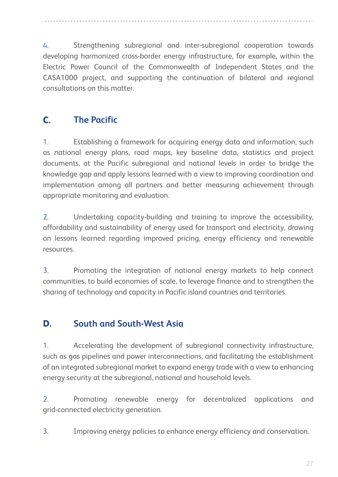Strengthening subregional and inter-subregional cooperation towards developing harmonized cross-border energy infrastructure, for example, within the Electric Power Council of the Commonwealth of Independent States and the CASA1000 project, and supporting the continuation of bilateral and regional consultations on this matter. 4.

## **The Pacific C.**

Establishing a framework for acquiring energy data and information, such as national energy plans, road maps, key baseline data, statistics and project documents, at the Pacific subregional and national levels in order to bridge the knowledge gap and apply lessons learned with a view to improving coordination and implementation among all partners and better measuring achievement through appropriate monitoring and evaluation. 1.

Undertaking capacity-building and training to improve the accessibility, affordability and sustainability of energy used for transport and electricity, drawing on lessons learned regarding improved pricing, energy efficiency and renewable resources. 2.

Promoting the integration of national energy markets to help connect communities, to build economies of scale, to leverage finance and to strengthen the sharing of technology and capacity in Pacific island countries and territories. 3.

## **South and South-West Asia D.**

Accelerating the development of subregional connectivity infrastructure, such as gas pipelines and power interconnections, and facilitating the establishment of an integrated subregional market to expand energy trade with a view to enhancing energy security at the subregional, national and household levels. 1.

Promoting renewable energy for decentralized applications and grid-connected electricity generation. 2.

Improving energy policies to enhance energy efficiency and conservation. 3.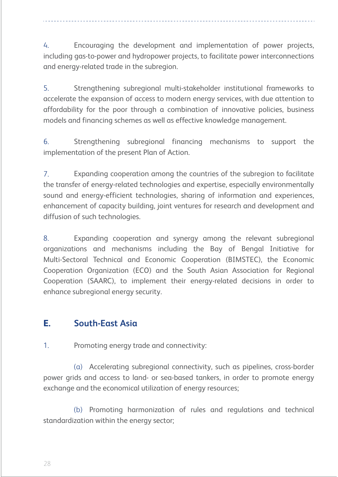Encouraging the development and implementation of power projects, including gas-to-power and hydropower projects, to facilitate power interconnections and energy-related trade in the subregion. 4.

Strengthening subregional multi-stakeholder institutional frameworks to accelerate the expansion of access to modern energy services, with due attention to affordability for the poor through a combination of innovative policies, business models and financing schemes as well as effective knowledge management. 5.

Strengthening subregional financing mechanisms to support the implementation of the present Plan of Action. 6.

Expanding cooperation among the countries of the subregion to facilitate the transfer of energy-related technologies and expertise, especially environmentally sound and energy-efficient technologies, sharing of information and experiences, enhancement of capacity building, joint ventures for research and development and diffusion of such technologies. 7.

Expanding cooperation and synergy among the relevant subregional organizations and mechanisms including the Bay of Bengal Initiative for Multi-Sectoral Technical and Economic Cooperation (BIMSTEC), the Economic Cooperation Organization (ECO) and the South Asian Association for Regional Cooperation (SAARC), to implement their energy-related decisions in order to enhance subregional energy security. 8.

### **South-East Asia E.**

Promoting energy trade and connectivity: 1.

(a) Accelerating subregional connectivity, such as pipelines, cross-border power grids and access to land- or sea-based tankers, in order to promote energy exchange and the economical utilization of energy resources;

(b) Promoting harmonization of rules and regulations and technical standardization within the energy sector;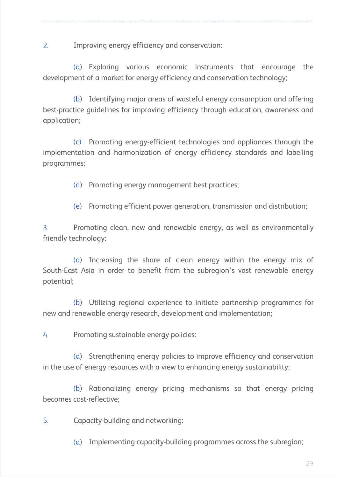Improving energy efficiency and conservation: 2.

(a) Exploring various economic instruments that encourage the development of a market for energy efficiency and conservation technology;

(b) Identifying major areas of wasteful energy consumption and offering best-practice guidelines for improving efficiency through education, awareness and application;

(c) Promoting energy-efficient technologies and appliances through the implementation and harmonization of energy efficiency standards and labelling programmes;

(d) Promoting energy management best practices;

(e) Promoting efficient power generation, transmission and distribution;

Promoting clean, new and renewable energy, as well as environmentally friendly technology: 3.

 $\alpha$ ) Increasing the share of clean energy within the energy mix of South-East Asia in order to benefit from the subregion's vast renewable energy potential;

Utilizing regional experience to initiate partnership programmes for (b) new and renewable energy research, development and implementation;

Promoting sustainable energy policies: 4.

 $(a)$  Strengthening energy policies to improve efficiency and conservation in the use of energy resources with a view to enhancing energy sustainability;

(b) Rationalizing energy pricing mechanisms so that energy pricing becomes cost-reflective;

Capacity-building and networking: 5.

(a) Implementing capacity-building programmes across the subregion;

29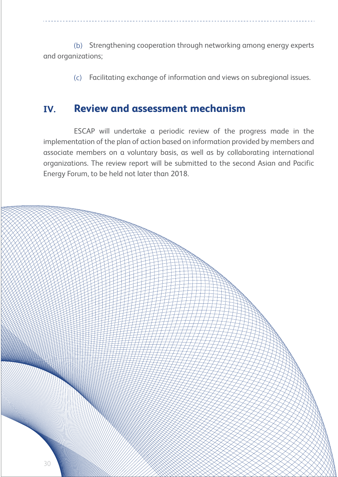(b) Strengthening cooperation through networking among energy experts and organizations;

> Facilitating exchange of information and views on subregional issues.  $(c)$

## **Review and assessment mechanism IV.**

ESCAP will undertake a periodic review of the progress made in the implementation of the plan of action based on information provided by members and associate members on a voluntary basis, as well as by collaborating international organizations. The review report will be submitted to the second Asian and Pacific Energy Forum, to be held not later than 2018.